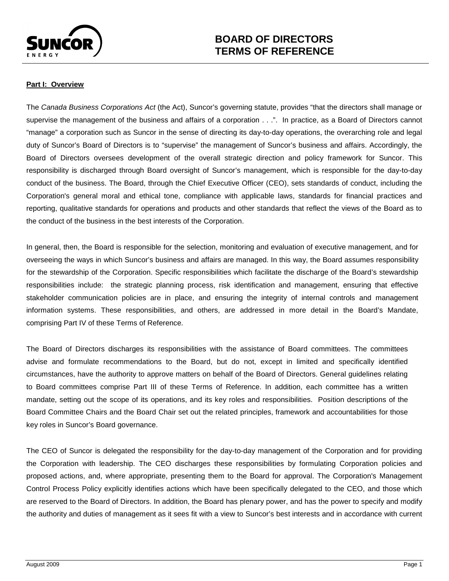

## **Part I: Overview**

The *Canada Business Corporations Act* (the Act), Suncor's governing statute, provides "that the directors shall manage or supervise the management of the business and affairs of a corporation . . .". In practice, as a Board of Directors cannot "manage" a corporation such as Suncor in the sense of directing its day-to-day operations, the overarching role and legal duty of Suncor's Board of Directors is to "supervise" the management of Suncor's business and affairs. Accordingly, the Board of Directors oversees development of the overall strategic direction and policy framework for Suncor. This responsibility is discharged through Board oversight of Suncor's management, which is responsible for the day-to-day conduct of the business. The Board, through the Chief Executive Officer (CEO), sets standards of conduct, including the Corporation's general moral and ethical tone, compliance with applicable laws, standards for financial practices and reporting, qualitative standards for operations and products and other standards that reflect the views of the Board as to the conduct of the business in the best interests of the Corporation.

In general, then, the Board is responsible for the selection, monitoring and evaluation of executive management, and for overseeing the ways in which Suncor's business and affairs are managed. In this way, the Board assumes responsibility for the stewardship of the Corporation. Specific responsibilities which facilitate the discharge of the Board's stewardship responsibilities include: the strategic planning process, risk identification and management, ensuring that effective stakeholder communication policies are in place, and ensuring the integrity of internal controls and management information systems. These responsibilities, and others, are addressed in more detail in the Board's Mandate, comprising Part IV of these Terms of Reference.

The Board of Directors discharges its responsibilities with the assistance of Board committees. The committees advise and formulate recommendations to the Board, but do not, except in limited and specifically identified circumstances, have the authority to approve matters on behalf of the Board of Directors. General guidelines relating to Board committees comprise Part III of these Terms of Reference. In addition, each committee has a written mandate, setting out the scope of its operations, and its key roles and responsibilities. Position descriptions of the Board Committee Chairs and the Board Chair set out the related principles, framework and accountabilities for those key roles in Suncor's Board governance.

<span id="page-0-0"></span>The CEO of Suncor is delegated the responsibility for the day-to-day management of the Corporation and for providing the Corporation with leadership. The CEO discharges these responsibilities by formulating Corporation policies and proposed actions, and, where appropriate, presenting them to the Board for approval. The Corporation's Management Control Process Policy explicitly identifies actions which have been specifically delegated to the CEO, and those which are reserved to the Board of Directors. In addition, the Board has plenary power, and has the power to specify and modify the authority and duties of management as it sees fit with a view to Suncor's best interests and in accordance with current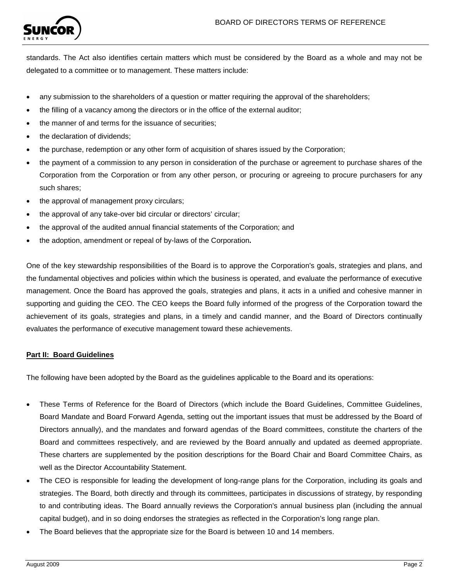

standards. The Act also identifies certain matters which must be considered by the Board as a whole and may not be delegated to a committee or to management. These matters include:

- any submission to the shareholders of a question or matter requiring the approval of the shareholders;
- the filling of a vacancy among the directors or in the office of the external auditor;
- the manner of and terms for the issuance of securities;
- the declaration of dividends:
- the purchase, redemption or any other form of acquisition of shares issued by the Corporation;
- the payment of a commission to any person in consideration of the purchase or agreement to purchase shares of the Corporation from the Corporation or from any other person, or procuring or agreeing to procure purchasers for any such shares;
- the approval of management proxy circulars;
- the approval of any take-over bid circular or directors' circular;
- the approval of the audited annual financial statements of the Corporation; and
- the adoption, amendment or repeal of by-laws of the Corporation**.**

One of the key stewardship responsibilities of the Board is to approve the Corporation's goals, strategies and plans, and the fundamental objectives and policies within which the business is operated, and evaluate the performance of executive management. Once the Board has approved the goals, strategies and plans, it acts in a unified and cohesive manner in supporting and guiding the CEO. The CEO keeps the Board fully informed of the progress of the Corporation toward the achievement of its goals, strategies and plans, in a timely and candid manner, and the Board of Directors continually evaluates the performance of executive management toward these achievements.

#### **Part II: Board Guidelines**

The following have been adopted by the Board as the guidelines applicable to the Board and its operations:

- These Terms of Reference for the Board of Directors (which include the Board Guidelines, Committee Guidelines, Board Mandate and Board Forward Agenda, setting out the important issues that must be addressed by the Board of Directors annually), and the mandates and forward agendas of the Board committees, constitute the charters of the Board and committees respectively, and are reviewed by the Board annually and updated as deemed appropriate. These charters are supplemented by the position descriptions for the Board Chair and Board Committee Chairs, as well as the Director Accountability Statement.
- The CEO is responsible for leading the development of long-range plans for the Corporation, including its goals and strategies. The Board, both directly and through its committees, participates in discussions of strategy, by responding to and contributing ideas. The Board annually reviews the Corporation's annual business plan (including the annual capital budget), and in so doing endorses the strategies as reflected in the Corporation's long range plan.
- The Board believes that the appropriate size for the Board is between 10 and 14 members.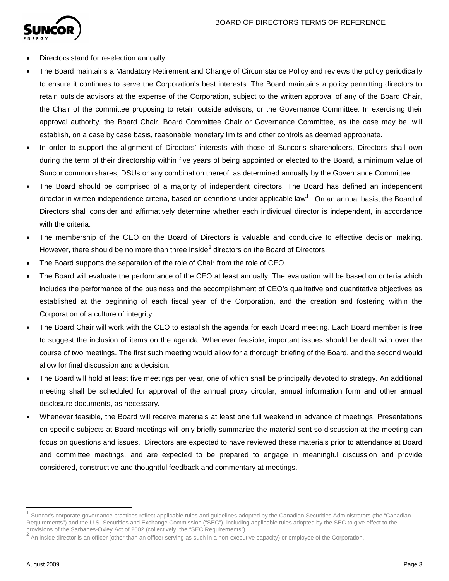

- Directors stand for re-election annually.
- The Board maintains a Mandatory Retirement and Change of Circumstance Policy and reviews the policy periodically to ensure it continues to serve the Corporation's best interests. The Board maintains a policy permitting directors to retain outside advisors at the expense of the Corporation, subject to the written approval of any of the Board Chair, the Chair of the committee proposing to retain outside advisors, or the Governance Committee. In exercising their approval authority, the Board Chair, Board Committee Chair or Governance Committee, as the case may be, will establish, on a case by case basis, reasonable monetary limits and other controls as deemed appropriate.
- In order to support the alignment of Directors' interests with those of Suncor's shareholders, Directors shall own during the term of their directorship within five years of being appointed or elected to the Board, a minimum value of Suncor common shares, DSUs or any combination thereof, as determined annually by the Governance Committee.
- The Board should be comprised of a majority of independent directors. The Board has defined an independent director in written independence criteria, based on definitions under applicable law<sup>[1](#page-0-0)</sup>. On an annual basis, the Board of Directors shall consider and affirmatively determine whether each individual director is independent, in accordance with the criteria.
- The membership of the CEO on the Board of Directors is valuable and conducive to effective decision making. However, there should be no more than three inside<sup>[2](#page-2-0)</sup> directors on the Board of Directors.
- The Board supports the separation of the role of Chair from the role of CEO.
- The Board will evaluate the performance of the CEO at least annually. The evaluation will be based on criteria which includes the performance of the business and the accomplishment of CEO's qualitative and quantitative objectives as established at the beginning of each fiscal year of the Corporation, and the creation and fostering within the Corporation of a culture of integrity.
- The Board Chair will work with the CEO to establish the agenda for each Board meeting. Each Board member is free to suggest the inclusion of items on the agenda. Whenever feasible, important issues should be dealt with over the course of two meetings. The first such meeting would allow for a thorough briefing of the Board, and the second would allow for final discussion and a decision.
- The Board will hold at least five meetings per year, one of which shall be principally devoted to strategy. An additional meeting shall be scheduled for approval of the annual proxy circular, annual information form and other annual disclosure documents, as necessary.
- Whenever feasible, the Board will receive materials at least one full weekend in advance of meetings. Presentations on specific subjects at Board meetings will only briefly summarize the material sent so discussion at the meeting can focus on questions and issues. Directors are expected to have reviewed these materials prior to attendance at Board and committee meetings, and are expected to be prepared to engage in meaningful discussion and provide considered, constructive and thoughtful feedback and commentary at meetings.

<span id="page-2-1"></span>Suncor's corporate governance practices reflect applicable rules and guidelines adopted by the Canadian Securities Administrators (the "Canadian Requirements") and the U.S. Securities and Exchange Commission ("SEC"), including applicable rules adopted by the SEC to give effect to the

<span id="page-2-0"></span>An inside director is an officer (other than an officer serving as such in a non-executive capacity) or employee of the Corporation.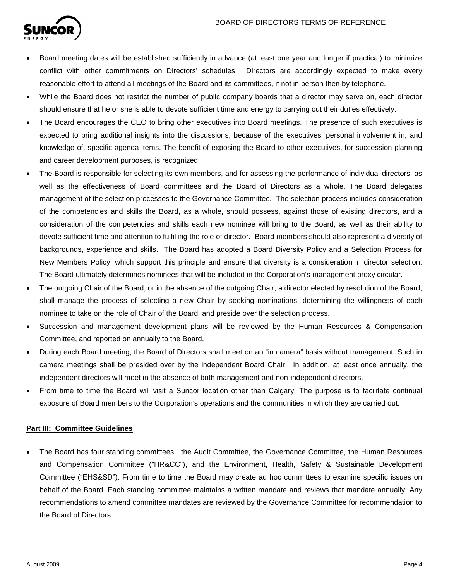

- Board meeting dates will be established sufficiently in advance (at least one year and longer if practical) to minimize conflict with other commitments on Directors' schedules. Directors are accordingly expected to make every reasonable effort to attend all meetings of the Board and its committees, if not in person then by telephone.
- While the Board does not restrict the number of public company boards that a director may serve on, each director should ensure that he or she is able to devote sufficient time and energy to carrying out their duties effectively.
- The Board encourages the CEO to bring other executives into Board meetings. The presence of such executives is expected to bring additional insights into the discussions, because of the executives' personal involvement in, and knowledge of, specific agenda items. The benefit of exposing the Board to other executives, for succession planning and career development purposes, is recognized.
- The Board is responsible for selecting its own members, and for assessing the performance of individual directors, as well as the effectiveness of Board committees and the Board of Directors as a whole. The Board delegates management of the selection processes to the Governance Committee. The selection process includes consideration of the competencies and skills the Board, as a whole, should possess, against those of existing directors, and a consideration of the competencies and skills each new nominee will bring to the Board, as well as their ability to devote sufficient time and attention to fulfilling the role of director. Board members should also represent a diversity of backgrounds, experience and skills. The Board has adopted a Board Diversity Policy and a Selection Process for New Members Policy, which support this principle and ensure that diversity is a consideration in director selection. The Board ultimately determines nominees that will be included in the Corporation's management proxy circular.
- The outgoing Chair of the Board, or in the absence of the outgoing Chair, a director elected by resolution of the Board, shall manage the process of selecting a new Chair by seeking nominations, determining the willingness of each nominee to take on the role of Chair of the Board, and preside over the selection process.
- Succession and management development plans will be reviewed by the Human Resources & Compensation Committee, and reported on annually to the Board.
- During each Board meeting, the Board of Directors shall meet on an "in camera" basis without management. Such in camera meetings shall be presided over by the independent Board Chair. In addition, at least once annually, the independent directors will meet in the absence of both management and non-independent directors.
- From time to time the Board will visit a Suncor location other than Calgary. The purpose is to facilitate continual exposure of Board members to the Corporation's operations and the communities in which they are carried out.

# **Part III: Committee Guidelines**

• The Board has four standing committees: the Audit Committee, the Governance Committee, the Human Resources and Compensation Committee ("HR&CC"), and the Environment, Health, Safety & Sustainable Development Committee ("EHS&SD"). From time to time the Board may create ad hoc committees to examine specific issues on behalf of the Board. Each standing committee maintains a written mandate and reviews that mandate annually. Any recommendations to amend committee mandates are reviewed by the Governance Committee for recommendation to the Board of Directors.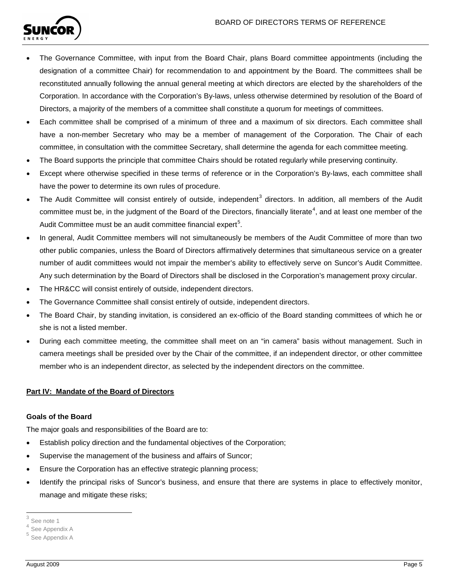

- The Governance Committee, with input from the Board Chair, plans Board committee appointments (including the designation of a committee Chair) for recommendation to and appointment by the Board. The committees shall be reconstituted annually following the annual general meeting at which directors are elected by the shareholders of the Corporation. In accordance with the Corporation's By-laws, unless otherwise determined by resolution of the Board of Directors, a majority of the members of a committee shall constitute a quorum for meetings of committees.
- Each committee shall be comprised of a minimum of three and a maximum of six directors. Each committee shall have a non-member Secretary who may be a member of management of the Corporation. The Chair of each committee, in consultation with the committee Secretary, shall determine the agenda for each committee meeting.
- The Board supports the principle that committee Chairs should be rotated regularly while preserving continuity.
- Except where otherwise specified in these terms of reference or in the Corporation's By-laws, each committee shall have the power to determine its own rules of procedure.
- The Audit Committee will consist entirely of outside, independent<sup>[3](#page-2-1)</sup> directors. In addition, all members of the Audit committee must be, in the judgment of the Board of the Directors, financially literate<sup>[4](#page-4-0)</sup>, and at least one member of the Audit Committee must be an audit committee financial expert<sup>[5](#page-4-1)</sup>.
- In general, Audit Committee members will not simultaneously be members of the Audit Committee of more than two other public companies, unless the Board of Directors affirmatively determines that simultaneous service on a greater number of audit committees would not impair the member's ability to effectively serve on Suncor's Audit Committee. Any such determination by the Board of Directors shall be disclosed in the Corporation's management proxy circular.
- The HR&CC will consist entirely of outside, independent directors.
- The Governance Committee shall consist entirely of outside, independent directors.
- The Board Chair, by standing invitation, is considered an ex-officio of the Board standing committees of which he or she is not a listed member.
- During each committee meeting, the committee shall meet on an "in camera" basis without management. Such in camera meetings shall be presided over by the Chair of the committee, if an independent director, or other committee member who is an independent director, as selected by the independent directors on the committee.

# **Part IV: Mandate of the Board of Directors**

# **Goals of the Board**

The major goals and responsibilities of the Board are to:

- Establish policy direction and the fundamental objectives of the Corporation;
- Supervise the management of the business and affairs of Suncor;
- Ensure the Corporation has an effective strategic planning process;
- Identify the principal risks of Suncor's business, and ensure that there are systems in place to effectively monitor, manage and mitigate these risks;

 <sup>3</sup> See note 1

<span id="page-4-2"></span><span id="page-4-0"></span>See Appendix A

<span id="page-4-1"></span><sup>5</sup> See Appendix A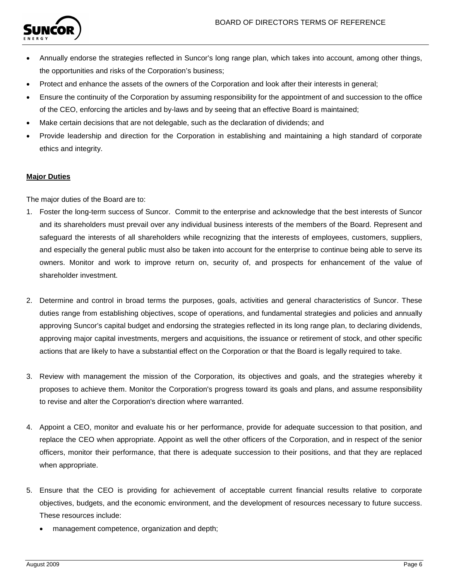

- Annually endorse the strategies reflected in Suncor's long range plan, which takes into account, among other things, the opportunities and risks of the Corporation's business;
- Protect and enhance the assets of the owners of the Corporation and look after their interests in general;
- Ensure the continuity of the Corporation by assuming responsibility for the appointment of and succession to the office of the CEO, enforcing the articles and by-laws and by seeing that an effective Board is maintained;
- Make certain decisions that are not delegable, such as the declaration of dividends; and
- Provide leadership and direction for the Corporation in establishing and maintaining a high standard of corporate ethics and integrity.

## **Major Duties**

The major duties of the Board are to:

- 1. Foster the long-term success of Suncor. Commit to the enterprise and acknowledge that the best interests of Suncor and its shareholders must prevail over any individual business interests of the members of the Board. Represent and safeguard the interests of all shareholders while recognizing that the interests of employees, customers, suppliers, and especially the general public must also be taken into account for the enterprise to continue being able to serve its owners. Monitor and work to improve return on, security of, and prospects for enhancement of the value of shareholder investment.
- 2. Determine and control in broad terms the purposes, goals, activities and general characteristics of Suncor. These duties range from establishing objectives, scope of operations, and fundamental strategies and policies and annually approving Suncor's capital budget and endorsing the strategies reflected in its long range plan, to declaring dividends, approving major capital investments, mergers and acquisitions, the issuance or retirement of stock, and other specific actions that are likely to have a substantial effect on the Corporation or that the Board is legally required to take.
- 3. Review with management the mission of the Corporation, its objectives and goals, and the strategies whereby it proposes to achieve them. Monitor the Corporation's progress toward its goals and plans, and assume responsibility to revise and alter the Corporation's direction where warranted.
- 4. Appoint a CEO, monitor and evaluate his or her performance, provide for adequate succession to that position, and replace the CEO when appropriate. Appoint as well the other officers of the Corporation, and in respect of the senior officers, monitor their performance, that there is adequate succession to their positions, and that they are replaced when appropriate.
- 5. Ensure that the CEO is providing for achievement of acceptable current financial results relative to corporate objectives, budgets, and the economic environment, and the development of resources necessary to future success. These resources include:
	- management competence, organization and depth;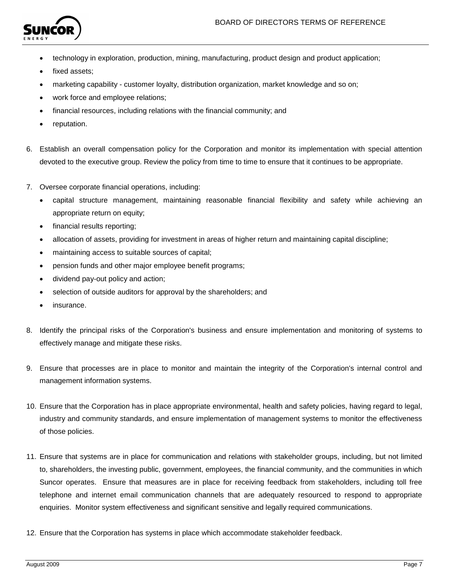

- technology in exploration, production, mining, manufacturing, product design and product application;
- fixed assets;
- marketing capability customer loyalty, distribution organization, market knowledge and so on;
- work force and employee relations;
- financial resources, including relations with the financial community; and
- reputation.
- 6. Establish an overall compensation policy for the Corporation and monitor its implementation with special attention devoted to the executive group. Review the policy from time to time to ensure that it continues to be appropriate.
- 7. Oversee corporate financial operations, including:
	- capital structure management, maintaining reasonable financial flexibility and safety while achieving an appropriate return on equity;
	- financial results reporting;
	- allocation of assets, providing for investment in areas of higher return and maintaining capital discipline;
	- maintaining access to suitable sources of capital;
	- pension funds and other major employee benefit programs;
	- dividend pay-out policy and action;
	- selection of outside auditors for approval by the shareholders; and
	- insurance.
- 8. Identify the principal risks of the Corporation's business and ensure implementation and monitoring of systems to effectively manage and mitigate these risks.
- 9. Ensure that processes are in place to monitor and maintain the integrity of the Corporation's internal control and management information systems.
- 10. Ensure that the Corporation has in place appropriate environmental, health and safety policies, having regard to legal, industry and community standards, and ensure implementation of management systems to monitor the effectiveness of those policies.
- 11. Ensure that systems are in place for communication and relations with stakeholder groups, including, but not limited to, shareholders, the investing public, government, employees, the financial community, and the communities in which Suncor operates. Ensure that measures are in place for receiving feedback from stakeholders, including toll free telephone and internet email communication channels that are adequately resourced to respond to appropriate enquiries. Monitor system effectiveness and significant sensitive and legally required communications.
- 12. Ensure that the Corporation has systems in place which accommodate stakeholder feedback.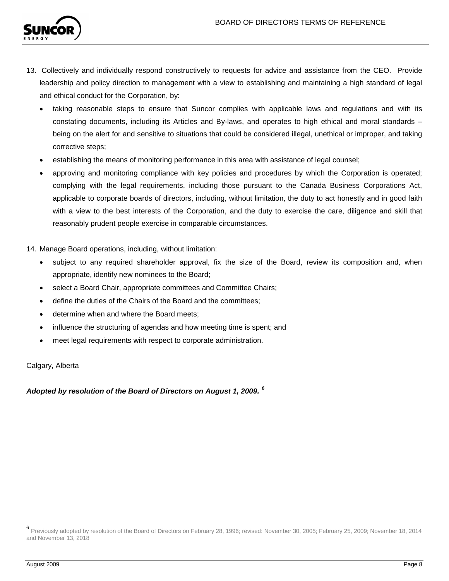

- 13. Collectively and individually respond constructively to requests for advice and assistance from the CEO. Provide leadership and policy direction to management with a view to establishing and maintaining a high standard of legal and ethical conduct for the Corporation, by:
	- taking reasonable steps to ensure that Suncor complies with applicable laws and regulations and with its constating documents, including its Articles and By-laws, and operates to high ethical and moral standards – being on the alert for and sensitive to situations that could be considered illegal, unethical or improper, and taking corrective steps;
	- establishing the means of monitoring performance in this area with assistance of legal counsel;
	- approving and monitoring compliance with key policies and procedures by which the Corporation is operated; complying with the legal requirements, including those pursuant to the Canada Business Corporations Act, applicable to corporate boards of directors, including, without limitation, the duty to act honestly and in good faith with a view to the best interests of the Corporation, and the duty to exercise the care, diligence and skill that reasonably prudent people exercise in comparable circumstances.
- 14. Manage Board operations, including, without limitation:
	- subject to any required shareholder approval, fix the size of the Board, review its composition and, when appropriate, identify new nominees to the Board;
	- select a Board Chair, appropriate committees and Committee Chairs;
	- define the duties of the Chairs of the Board and the committees;
	- determine when and where the Board meets;
	- influence the structuring of agendas and how meeting time is spent; and
	- meet legal requirements with respect to corporate administration.

Calgary, Alberta

*Adopted by resolution of the Board of Directors on August 1, 2009. [6](#page-4-2)*

 <sup>6</sup> Previously adopted by resolution of the Board of Directors on February 28, 1996; revised: November 30, 2005; February 25, 2009; November 18, 2014 and November 13, 2018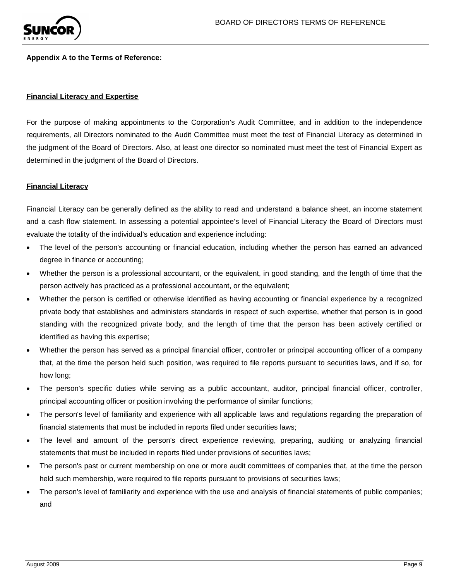

#### **Appendix A to the Terms of Reference:**

#### **Financial Literacy and Expertise**

For the purpose of making appointments to the Corporation's Audit Committee, and in addition to the independence requirements, all Directors nominated to the Audit Committee must meet the test of Financial Literacy as determined in the judgment of the Board of Directors. Also, at least one director so nominated must meet the test of Financial Expert as determined in the judgment of the Board of Directors.

### **Financial Literacy**

Financial Literacy can be generally defined as the ability to read and understand a balance sheet, an income statement and a cash flow statement. In assessing a potential appointee's level of Financial Literacy the Board of Directors must evaluate the totality of the individual's education and experience including:

- The level of the person's accounting or financial education, including whether the person has earned an advanced degree in finance or accounting;
- Whether the person is a professional accountant, or the equivalent, in good standing, and the length of time that the person actively has practiced as a professional accountant, or the equivalent;
- Whether the person is certified or otherwise identified as having accounting or financial experience by a recognized private body that establishes and administers standards in respect of such expertise, whether that person is in good standing with the recognized private body, and the length of time that the person has been actively certified or identified as having this expertise;
- Whether the person has served as a principal financial officer, controller or principal accounting officer of a company that, at the time the person held such position, was required to file reports pursuant to securities laws, and if so, for how long;
- The person's specific duties while serving as a public accountant, auditor, principal financial officer, controller, principal accounting officer or position involving the performance of similar functions;
- The person's level of familiarity and experience with all applicable laws and regulations regarding the preparation of financial statements that must be included in reports filed under securities laws;
- The level and amount of the person's direct experience reviewing, preparing, auditing or analyzing financial statements that must be included in reports filed under provisions of securities laws;
- The person's past or current membership on one or more audit committees of companies that, at the time the person held such membership, were required to file reports pursuant to provisions of securities laws;
- The person's level of familiarity and experience with the use and analysis of financial statements of public companies; and